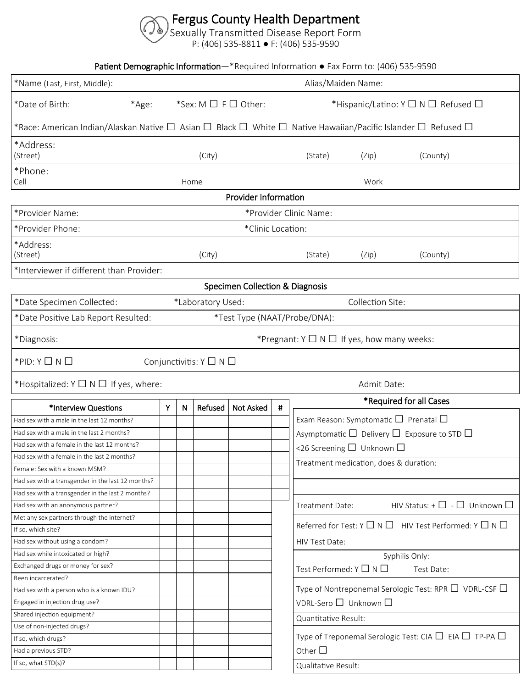## Fergus County Health Department

Sexually Transmitted Disease Report Form

P: (406) 535-8811 ● F: (406) 535-9590

Patient Demographic Information—\*Required Information ● Fax Form to: (406) 535-9590

| *Name (Last, First, Middle):                                            |   |   |                                       |                             |   | Alias/Maiden Name:                                                                                                                         |  |  |  |  |  |  |
|-------------------------------------------------------------------------|---|---|---------------------------------------|-----------------------------|---|--------------------------------------------------------------------------------------------------------------------------------------------|--|--|--|--|--|--|
| *Sex: M □ F □ Other:<br>*Date of Birth:<br>*Age:                        |   |   |                                       |                             |   | *Hispanic/Latino: Y □ N □ Refused □                                                                                                        |  |  |  |  |  |  |
|                                                                         |   |   |                                       |                             |   | *Race: American Indian/Alaskan Native $\Box$ Asian $\Box$ Black $\Box$ White $\Box$ Native Hawaiian/Pacific Islander $\Box$ Refused $\Box$ |  |  |  |  |  |  |
| *Address:<br>(Street)                                                   |   |   | (City)                                |                             |   | (State)<br>(Zip)<br>(County)                                                                                                               |  |  |  |  |  |  |
| *Phone:<br>Cell<br>Home                                                 |   |   |                                       |                             |   | Work                                                                                                                                       |  |  |  |  |  |  |
|                                                                         |   |   |                                       | <b>Provider Information</b> |   |                                                                                                                                            |  |  |  |  |  |  |
| *Provider Name:<br>*Provider Clinic Name:                               |   |   |                                       |                             |   |                                                                                                                                            |  |  |  |  |  |  |
| *Clinic Location:<br>*Provider Phone:                                   |   |   |                                       |                             |   |                                                                                                                                            |  |  |  |  |  |  |
| *Address:<br>(Street)<br>(City)                                         |   |   |                                       |                             |   | (State)<br>(Zip)<br>(County)                                                                                                               |  |  |  |  |  |  |
| *Interviewer if different than Provider:                                |   |   |                                       |                             |   |                                                                                                                                            |  |  |  |  |  |  |
|                                                                         |   |   |                                       |                             |   |                                                                                                                                            |  |  |  |  |  |  |
| Specimen Collection & Diagnosis<br>Collection Site:                     |   |   |                                       |                             |   |                                                                                                                                            |  |  |  |  |  |  |
| *Date Specimen Collected:<br>*Laboratory Used:                          |   |   |                                       |                             |   |                                                                                                                                            |  |  |  |  |  |  |
| *Date Positive Lab Report Resulted:                                     |   |   |                                       |                             |   | *Test Type (NAAT/Probe/DNA):                                                                                                               |  |  |  |  |  |  |
| *Pregnant: $Y \square N \square$ If yes, how many weeks:<br>*Diagnosis: |   |   |                                       |                             |   |                                                                                                                                            |  |  |  |  |  |  |
| $*$ PID: Y $\Box$ N $\Box$                                              |   |   | Conjunctivitis: $Y \square N \square$ |                             |   |                                                                                                                                            |  |  |  |  |  |  |
| *Hospitalized: $Y \square N \square$ If yes, where:                     |   |   |                                       |                             |   | Admit Date:                                                                                                                                |  |  |  |  |  |  |
| *Interview Questions                                                    | Y | N | Refused                               | <b>Not Asked</b>            | # | *Required for all Cases                                                                                                                    |  |  |  |  |  |  |
| Had sex with a male in the last 12 months?                              |   |   |                                       |                             |   | Exam Reason: Symptomatic $\Box$ Prenatal $\Box$                                                                                            |  |  |  |  |  |  |
| Had sex with a male in the last 2 months?                               |   |   |                                       |                             |   | Asymptomatic $\Box$ Delivery $\Box$ Exposure to STD $\Box$                                                                                 |  |  |  |  |  |  |
| Had sex with a female in the last 12 months?                            |   |   |                                       |                             |   |                                                                                                                                            |  |  |  |  |  |  |
| Had sex with a female in the last 2 months?                             |   |   |                                       |                             |   | <26 Screening $\Box$ Unknown $\Box$                                                                                                        |  |  |  |  |  |  |
| Female: Sex with a known MSM?                                           |   |   |                                       |                             |   | Treatment medication, does & duration:                                                                                                     |  |  |  |  |  |  |
| Had sex with a transgender in the last 12 months?                       |   |   |                                       |                             |   |                                                                                                                                            |  |  |  |  |  |  |
| Had sex with a transgender in the last 2 months?                        |   |   |                                       |                             |   |                                                                                                                                            |  |  |  |  |  |  |
| Had sex with an anonymous partner?                                      |   |   |                                       |                             |   | HIV Status: + $\square$ - $\square$ Unknown $\square$<br>Treatment Date:                                                                   |  |  |  |  |  |  |
| Met any sex partners through the internet?                              |   |   |                                       |                             |   |                                                                                                                                            |  |  |  |  |  |  |
| If so, which site?                                                      |   |   |                                       |                             |   | Referred for Test: $Y \square \neg N \square$ HIV Test Performed: $Y \square \neg N \square$                                               |  |  |  |  |  |  |
| Had sex without using a condom?                                         |   |   |                                       |                             |   | HIV Test Date:                                                                                                                             |  |  |  |  |  |  |
| Had sex while intoxicated or high?                                      |   |   |                                       |                             |   | Syphilis Only:                                                                                                                             |  |  |  |  |  |  |
| Exchanged drugs or money for sex?                                       |   |   |                                       |                             |   | Test Performed: Y □ N □<br>Test Date:                                                                                                      |  |  |  |  |  |  |
| Been incarcerated?                                                      |   |   |                                       |                             |   |                                                                                                                                            |  |  |  |  |  |  |
| Had sex with a person who is a known IDU?                               |   |   |                                       |                             |   | Type of Nontreponemal Serologic Test: RPR $\Box\,$ VDRL-CSF $\Box\,$                                                                       |  |  |  |  |  |  |
| Engaged in injection drug use?                                          |   |   |                                       |                             |   | VDRL-Sero □ Unknown □                                                                                                                      |  |  |  |  |  |  |
| Shared injection equipment?                                             |   |   |                                       |                             |   |                                                                                                                                            |  |  |  |  |  |  |
| Use of non-injected drugs?                                              |   |   |                                       |                             |   | Quantitative Result:                                                                                                                       |  |  |  |  |  |  |
| If so, which drugs?                                                     |   |   |                                       |                             |   | Type of Treponemal Serologic Test: CIA $\Box$ EIA $\Box$ TP-PA $\Box$                                                                      |  |  |  |  |  |  |
| Had a previous STD?                                                     |   |   |                                       |                             |   | Other $\square$                                                                                                                            |  |  |  |  |  |  |
| If so, what STD(s)?                                                     |   |   |                                       |                             |   | Qualitative Result:                                                                                                                        |  |  |  |  |  |  |
|                                                                         |   |   |                                       |                             |   |                                                                                                                                            |  |  |  |  |  |  |